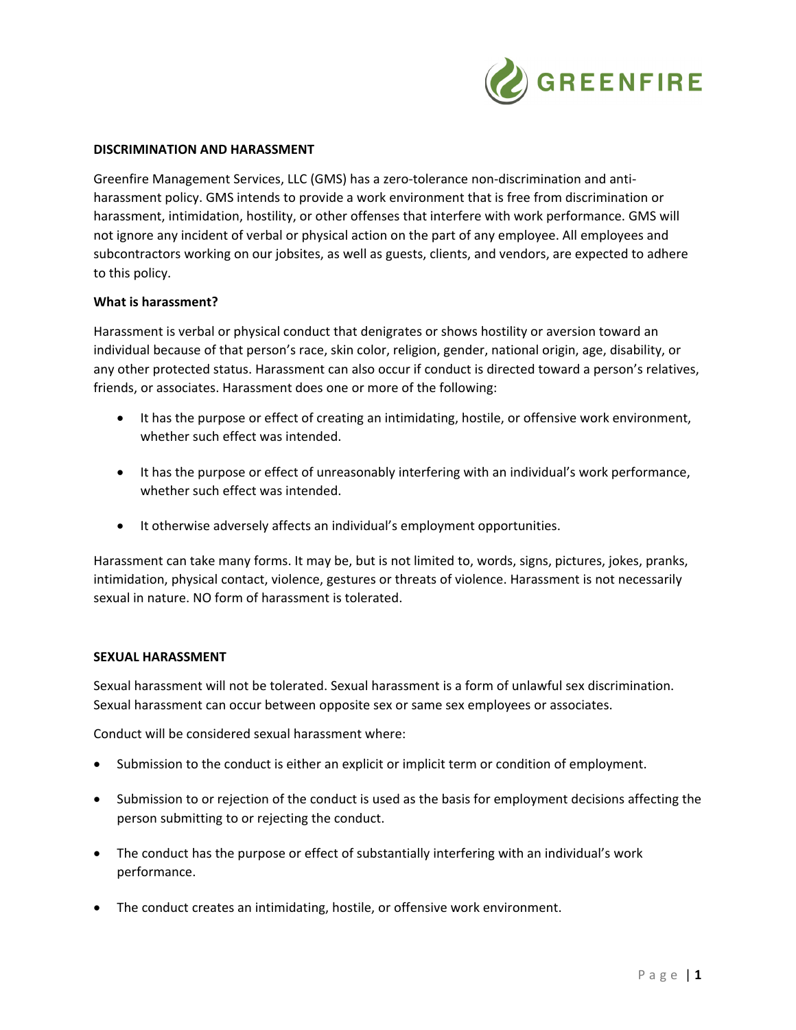

## **DISCRIMINATION AND HARASSMENT**

Greenfire Management Services, LLC (GMS) has a zero-tolerance non-discrimination and antiharassment policy. GMS intends to provide a work environment that is free from discrimination or harassment, intimidation, hostility, or other offenses that interfere with work performance. GMS will not ignore any incident of verbal or physical action on the part of any employee. All employees and subcontractors working on our jobsites, as well as guests, clients, and vendors, are expected to adhere to this policy.

### **What is harassment?**

Harassment is verbal or physical conduct that denigrates or shows hostility or aversion toward an individual because of that person's race, skin color, religion, gender, national origin, age, disability, or any other protected status. Harassment can also occur if conduct is directed toward a person's relatives, friends, or associates. Harassment does one or more of the following:

- It has the purpose or effect of creating an intimidating, hostile, or offensive work environment, whether such effect was intended.
- It has the purpose or effect of unreasonably interfering with an individual's work performance, whether such effect was intended.
- It otherwise adversely affects an individual's employment opportunities.

Harassment can take many forms. It may be, but is not limited to, words, signs, pictures, jokes, pranks, intimidation, physical contact, violence, gestures or threats of violence. Harassment is not necessarily sexual in nature. NO form of harassment is tolerated.

### **SEXUAL HARASSMENT**

Sexual harassment will not be tolerated. Sexual harassment is a form of unlawful sex discrimination. Sexual harassment can occur between opposite sex or same sex employees or associates.

Conduct will be considered sexual harassment where:

- Submission to the conduct is either an explicit or implicit term or condition of employment.
- Submission to or rejection of the conduct is used as the basis for employment decisions affecting the person submitting to or rejecting the conduct.
- The conduct has the purpose or effect of substantially interfering with an individual's work performance.
- The conduct creates an intimidating, hostile, or offensive work environment.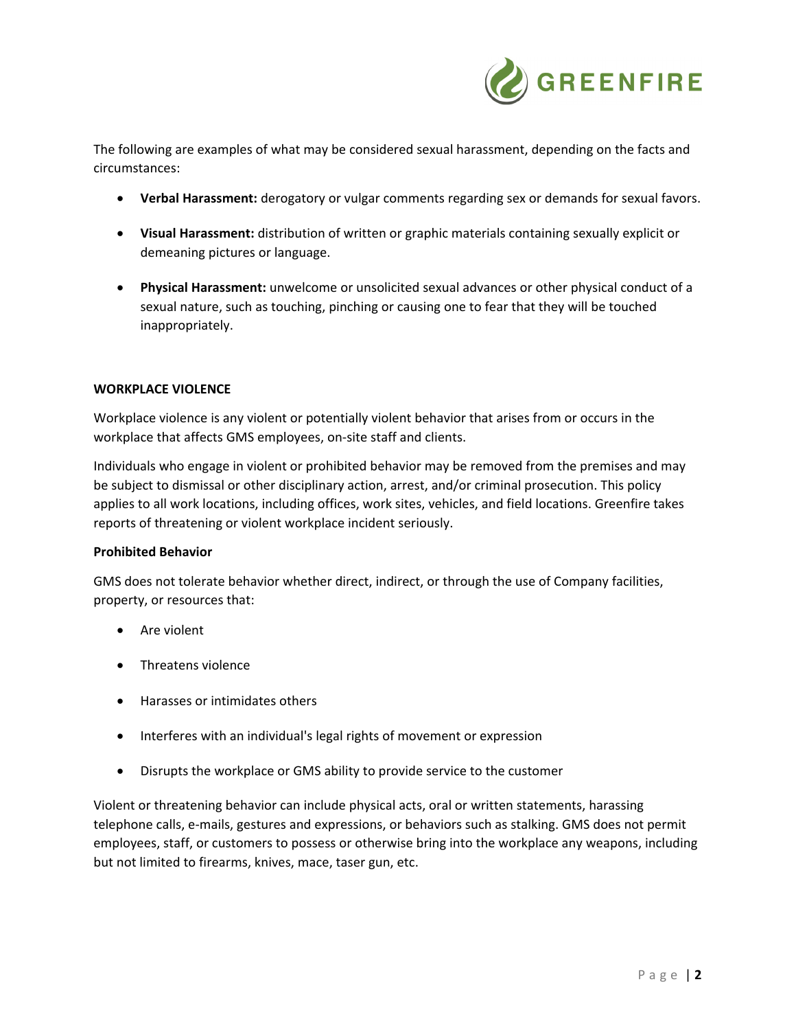

The following are examples of what may be considered sexual harassment, depending on the facts and circumstances:

- **Verbal Harassment:** derogatory or vulgar comments regarding sex or demands for sexual favors.
- **Visual Harassment:** distribution of written or graphic materials containing sexually explicit or demeaning pictures or language.
- **Physical Harassment:** unwelcome or unsolicited sexual advances or other physical conduct of a sexual nature, such as touching, pinching or causing one to fear that they will be touched inappropriately.

## **WORKPLACE VIOLENCE**

Workplace violence is any violent or potentially violent behavior that arises from or occurs in the workplace that affects GMS employees, on‐site staff and clients.

Individuals who engage in violent or prohibited behavior may be removed from the premises and may be subject to dismissal or other disciplinary action, arrest, and/or criminal prosecution. This policy applies to all work locations, including offices, work sites, vehicles, and field locations. Greenfire takes reports of threatening or violent workplace incident seriously.

### **Prohibited Behavior**

GMS does not tolerate behavior whether direct, indirect, or through the use of Company facilities, property, or resources that:

- Are violent
- Threatens violence
- Harasses or intimidates others
- Interferes with an individual's legal rights of movement or expression
- Disrupts the workplace or GMS ability to provide service to the customer

Violent or threatening behavior can include physical acts, oral or written statements, harassing telephone calls, e‐mails, gestures and expressions, or behaviors such as stalking. GMS does not permit employees, staff, or customers to possess or otherwise bring into the workplace any weapons, including but not limited to firearms, knives, mace, taser gun, etc.